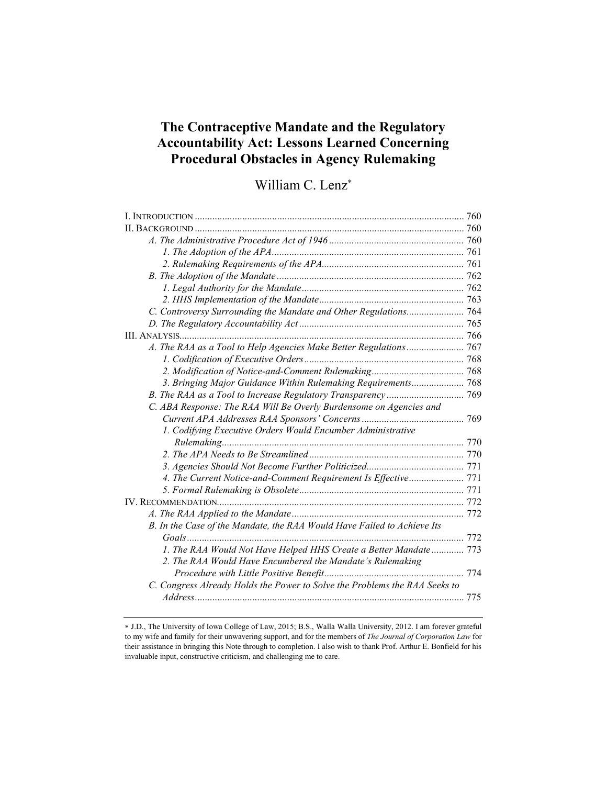# The Contraceptive Mandate and the Regulatory Accountability Act: Lessons Learned Concerning Procedural Obstacles in Agency Rulemaking

William C. Lenz

| II. BACKGROUND                                                             |  |
|----------------------------------------------------------------------------|--|
|                                                                            |  |
|                                                                            |  |
|                                                                            |  |
|                                                                            |  |
|                                                                            |  |
|                                                                            |  |
| C. Controversy Surrounding the Mandate and Other Regulations 764           |  |
|                                                                            |  |
|                                                                            |  |
| A. The RAA as a Tool to Help Agencies Make Better Regulations 767          |  |
|                                                                            |  |
|                                                                            |  |
| 3. Bringing Major Guidance Within Rulemaking Requirements 768              |  |
|                                                                            |  |
| C. ABA Response: The RAA Will Be Overly Burdensome on Agencies and         |  |
|                                                                            |  |
| 1. Codifying Executive Orders Would Encumber Administrative                |  |
|                                                                            |  |
|                                                                            |  |
|                                                                            |  |
| 4. The Current Notice-and-Comment Requirement Is Effective 771             |  |
|                                                                            |  |
|                                                                            |  |
|                                                                            |  |
| B. In the Case of the Mandate, the RAA Would Have Failed to Achieve Its    |  |
|                                                                            |  |
| 1. The RAA Would Not Have Helped HHS Create a Better Mandate 773           |  |
| 2. The RAA Would Have Encumbered the Mandate's Rulemaking                  |  |
|                                                                            |  |
| C. Congress Already Holds the Power to Solve the Problems the RAA Seeks to |  |
|                                                                            |  |
|                                                                            |  |

J.D., The University of Iowa College of Law, 2015; B.S., Walla Walla University, 2012. I am forever grateful to my wife and family for their unwavering support, and for the members of The Journal of Corporation Law for their assistance in bringing this Note through to completion. I also wish to thank Prof. Arthur E. Bonfield for his invaluable input, constructive criticism, and challenging me to care.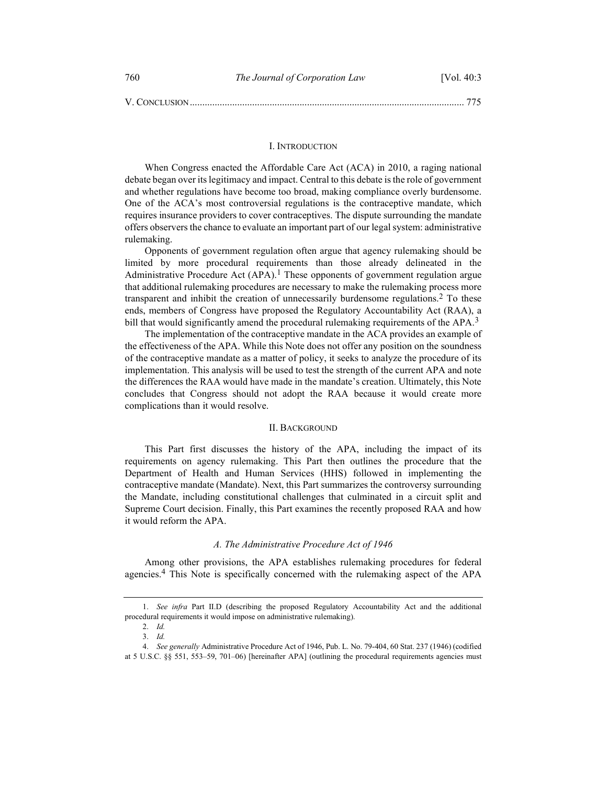V. CONCLUSION .............................................................................................................. 775

#### I. INTRODUCTION

When Congress enacted the Affordable Care Act (ACA) in 2010, a raging national debate began over its legitimacy and impact. Central to this debate is the role of government and whether regulations have become too broad, making compliance overly burdensome. One of the ACA's most controversial regulations is the contraceptive mandate, which requires insurance providers to cover contraceptives. The dispute surrounding the mandate offers observers the chance to evaluate an important part of our legal system: administrative rulemaking.

Opponents of government regulation often argue that agency rulemaking should be limited by more procedural requirements than those already delineated in the Administrative Procedure Act  $(APA)$ .<sup>1</sup> These opponents of government regulation argue that additional rulemaking procedures are necessary to make the rulemaking process more transparent and inhibit the creation of unnecessarily burdensome regulations.2 To these ends, members of Congress have proposed the Regulatory Accountability Act (RAA), a bill that would significantly amend the procedural rulemaking requirements of the APA. $3$ 

The implementation of the contraceptive mandate in the ACA provides an example of the effectiveness of the APA. While this Note does not offer any position on the soundness of the contraceptive mandate as a matter of policy, it seeks to analyze the procedure of its implementation. This analysis will be used to test the strength of the current APA and note the differences the RAA would have made in the mandate's creation. Ultimately, this Note concludes that Congress should not adopt the RAA because it would create more complications than it would resolve.

#### II. BACKGROUND

This Part first discusses the history of the APA, including the impact of its requirements on agency rulemaking. This Part then outlines the procedure that the Department of Health and Human Services (HHS) followed in implementing the contraceptive mandate (Mandate). Next, this Part summarizes the controversy surrounding the Mandate, including constitutional challenges that culminated in a circuit split and Supreme Court decision. Finally, this Part examines the recently proposed RAA and how it would reform the APA.

# A. The Administrative Procedure Act of 1946

Among other provisions, the APA establishes rulemaking procedures for federal agencies.4 This Note is specifically concerned with the rulemaking aspect of the APA

 <sup>1.</sup> See infra Part II.D (describing the proposed Regulatory Accountability Act and the additional procedural requirements it would impose on administrative rulemaking).

 <sup>2.</sup> Id.

 <sup>3.</sup> Id.

 <sup>4.</sup> See generally Administrative Procedure Act of 1946, Pub. L. No. 79-404, 60 Stat. 237 (1946) (codified at 5 U.S.C. §§ 551, 553–59, 701–06) [hereinafter APA] (outlining the procedural requirements agencies must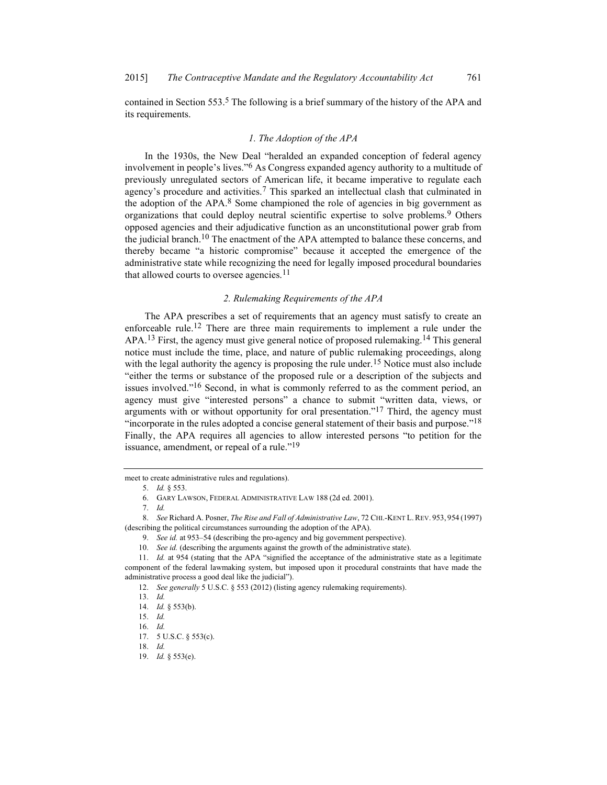contained in Section  $553<sup>5</sup>$ . The following is a brief summary of the history of the APA and its requirements.

#### 1. The Adoption of the APA

In the 1930s, the New Deal "heralded an expanded conception of federal agency involvement in people's lives."6 As Congress expanded agency authority to a multitude of previously unregulated sectors of American life, it became imperative to regulate each agency's procedure and activities.<sup>7</sup> This sparked an intellectual clash that culminated in the adoption of the  $APA<sup>8</sup>$  Some championed the role of agencies in big government as organizations that could deploy neutral scientific expertise to solve problems.<sup>9</sup> Others opposed agencies and their adjudicative function as an unconstitutional power grab from the judicial branch.<sup>10</sup> The enactment of the APA attempted to balance these concerns, and thereby became "a historic compromise" because it accepted the emergence of the administrative state while recognizing the need for legally imposed procedural boundaries that allowed courts to oversee agencies.<sup>11</sup>

## 2. Rulemaking Requirements of the APA

The APA prescribes a set of requirements that an agency must satisfy to create an enforceable rule.<sup>12</sup> There are three main requirements to implement a rule under the APA.<sup>13</sup> First, the agency must give general notice of proposed rulemaking.<sup>14</sup> This general notice must include the time, place, and nature of public rulemaking proceedings, along with the legal authority the agency is proposing the rule under.<sup>15</sup> Notice must also include "either the terms or substance of the proposed rule or a description of the subjects and issues involved."<sup>16</sup> Second, in what is commonly referred to as the comment period, an agency must give "interested persons" a chance to submit "written data, views, or arguments with or without opportunity for oral presentation."<sup>17</sup> Third, the agency must "incorporate in the rules adopted a concise general statement of their basis and purpose."<sup>18</sup> Finally, the APA requires all agencies to allow interested persons "to petition for the issuance, amendment, or repeal of a rule."<sup>19</sup>

meet to create administrative rules and regulations).

 <sup>5.</sup> Id. § 553.

 <sup>6.</sup> GARY LAWSON, FEDERAL ADMINISTRATIVE LAW 188 (2d ed. 2001).

 <sup>7.</sup> Id.

<sup>8.</sup> See Richard A. Posner, The Rise and Fall of Administrative Law, 72 CHI.-KENT L. REV. 953, 954 (1997) (describing the political circumstances surrounding the adoption of the APA).

 <sup>9.</sup> See id. at 953–54 (describing the pro-agency and big government perspective).

<sup>10.</sup> See id. (describing the arguments against the growth of the administrative state).

<sup>11.</sup> Id. at 954 (stating that the APA "signified the acceptance of the administrative state as a legitimate component of the federal lawmaking system, but imposed upon it procedural constraints that have made the administrative process a good deal like the judicial").

 <sup>12.</sup> See generally 5 U.S.C. § 553 (2012) (listing agency rulemaking requirements).

 <sup>13.</sup> Id.

 <sup>14.</sup> Id. § 553(b).

 <sup>15.</sup> Id.

 <sup>16.</sup> Id.

 <sup>17. 5</sup> U.S.C. § 553(c).

 <sup>18.</sup> Id.

 <sup>19.</sup> Id. § 553(e).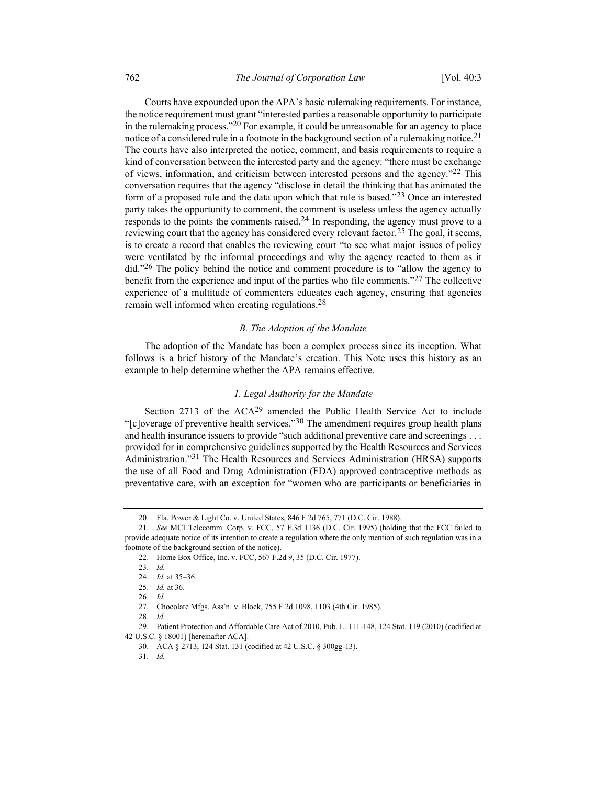Courts have expounded upon the APA's basic rulemaking requirements. For instance, the notice requirement must grant "interested parties a reasonable opportunity to participate in the rulemaking process."<sup>20</sup> For example, it could be unreasonable for an agency to place notice of a considered rule in a footnote in the background section of a rulemaking notice.<sup>21</sup> The courts have also interpreted the notice, comment, and basis requirements to require a kind of conversation between the interested party and the agency: "there must be exchange of views, information, and criticism between interested persons and the agency."<sup>22</sup> This conversation requires that the agency "disclose in detail the thinking that has animated the form of a proposed rule and the data upon which that rule is based."23 Once an interested party takes the opportunity to comment, the comment is useless unless the agency actually responds to the points the comments raised. $24$  In responding, the agency must prove to a reviewing court that the agency has considered every relevant factor.<sup>25</sup> The goal, it seems, is to create a record that enables the reviewing court "to see what major issues of policy were ventilated by the informal proceedings and why the agency reacted to them as it did."<sup>26</sup> The policy behind the notice and comment procedure is to "allow the agency to benefit from the experience and input of the parties who file comments." $27$  The collective experience of a multitude of commenters educates each agency, ensuring that agencies remain well informed when creating regulations.<sup>28</sup>

## B. The Adoption of the Mandate

The adoption of the Mandate has been a complex process since its inception. What follows is a brief history of the Mandate's creation. This Note uses this history as an example to help determine whether the APA remains effective.

### 1. Legal Authority for the Mandate

Section 2713 of the ACA29 amended the Public Health Service Act to include "[c]overage of preventive health services."  $30$  The amendment requires group health plans and health insurance issuers to provide "such additional preventive care and screenings . . . provided for in comprehensive guidelines supported by the Health Resources and Services Administration."31 The Health Resources and Services Administration (HRSA) supports the use of all Food and Drug Administration (FDA) approved contraceptive methods as preventative care, with an exception for "women who are participants or beneficiaries in

 <sup>20.</sup> Fla. Power & Light Co. v. United States, 846 F.2d 765, 771 (D.C. Cir. 1988).

 <sup>21.</sup> See MCI Telecomm. Corp. v. FCC, 57 F.3d 1136 (D.C. Cir. 1995) (holding that the FCC failed to provide adequate notice of its intention to create a regulation where the only mention of such regulation was in a footnote of the background section of the notice).

 <sup>22.</sup> Home Box Office, Inc. v. FCC, 567 F.2d 9, 35 (D.C. Cir. 1977).

 <sup>23.</sup> Id.

 <sup>24.</sup> Id. at 35–36.

 <sup>25.</sup> Id. at 36.

 <sup>26.</sup> Id.

 <sup>27.</sup> Chocolate Mfgs. Ass'n. v. Block, 755 F.2d 1098, 1103 (4th Cir. 1985).

 <sup>28.</sup> Id.

 <sup>29.</sup> Patient Protection and Affordable Care Act of 2010, Pub. L. 111-148, 124 Stat. 119 (2010) (codified at 42 U.S.C. § 18001) [hereinafter ACA].

 <sup>30.</sup> ACA § 2713, 124 Stat. 131 (codified at 42 U.S.C. § 300gg-13).

 <sup>31.</sup> Id.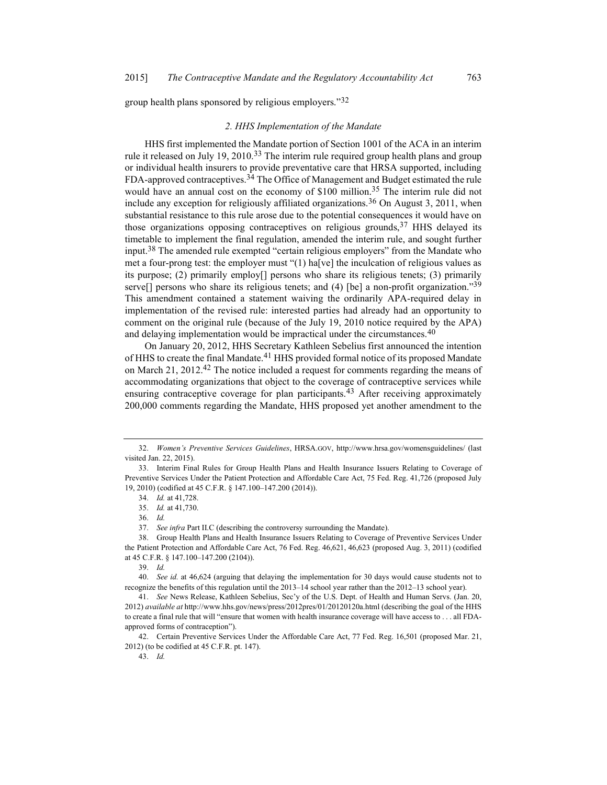group health plans sponsored by religious employers."<sup>32</sup>

## 2. HHS Implementation of the Mandate

HHS first implemented the Mandate portion of Section 1001 of the ACA in an interim rule it released on July 19, 2010.<sup>33</sup> The interim rule required group health plans and group or individual health insurers to provide preventative care that HRSA supported, including FDA-approved contraceptives.<sup>34</sup> The Office of Management and Budget estimated the rule would have an annual cost on the economy of \$100 million.<sup>35</sup> The interim rule did not include any exception for religiously affiliated organizations.<sup>36</sup> On August 3, 2011, when substantial resistance to this rule arose due to the potential consequences it would have on those organizations opposing contraceptives on religious grounds,  $37$  HHS delayed its timetable to implement the final regulation, amended the interim rule, and sought further input.<sup>38</sup> The amended rule exempted "certain religious employers" from the Mandate who met a four-prong test: the employer must "(1) ha[ve] the inculcation of religious values as its purpose; (2) primarily employ[] persons who share its religious tenets; (3) primarily serve[] persons who share its religious tenets; and (4) [be] a non-profit organization."39 This amendment contained a statement waiving the ordinarily APA-required delay in implementation of the revised rule: interested parties had already had an opportunity to comment on the original rule (because of the July 19, 2010 notice required by the APA) and delaying implementation would be impractical under the circumstances.  $40$ 

On January 20, 2012, HHS Secretary Kathleen Sebelius first announced the intention of HHS to create the final Mandate.<sup>41</sup> HHS provided formal notice of its proposed Mandate on March 21, 2012.<sup>42</sup> The notice included a request for comments regarding the means of accommodating organizations that object to the coverage of contraceptive services while ensuring contraceptive coverage for plan participants.<sup>43</sup> After receiving approximately 200,000 comments regarding the Mandate, HHS proposed yet another amendment to the

43. Id.

 <sup>32.</sup> Women's Preventive Services Guidelines, HRSA.GOV, http://www.hrsa.gov/womensguidelines/ (last visited Jan. 22, 2015).

 <sup>33.</sup> Interim Final Rules for Group Health Plans and Health Insurance Issuers Relating to Coverage of Preventive Services Under the Patient Protection and Affordable Care Act, 75 Fed. Reg. 41,726 (proposed July 19, 2010) (codified at 45 C.F.R. § 147.100–147.200 (2014)).

 <sup>34.</sup> Id. at 41,728.

 <sup>35.</sup> Id. at 41,730.

 <sup>36.</sup> Id.

 <sup>37.</sup> See infra Part II.C (describing the controversy surrounding the Mandate).

 <sup>38.</sup> Group Health Plans and Health Insurance Issuers Relating to Coverage of Preventive Services Under the Patient Protection and Affordable Care Act, 76 Fed. Reg. 46,621, 46,623 (proposed Aug. 3, 2011) (codified at 45 C.F.R. § 147.100–147.200 (2104)).

 <sup>39.</sup> Id.

 <sup>40.</sup> See id. at 46,624 (arguing that delaying the implementation for 30 days would cause students not to recognize the benefits of this regulation until the 2013–14 school year rather than the 2012–13 school year).

 <sup>41.</sup> See News Release, Kathleen Sebelius, Sec'y of the U.S. Dept. of Health and Human Servs. (Jan. 20, 2012) available at http://www.hhs.gov/news/press/2012pres/01/20120120a.html (describing the goal of the HHS to create a final rule that will "ensure that women with health insurance coverage will have access to . . . all FDAapproved forms of contraception").

 <sup>42.</sup> Certain Preventive Services Under the Affordable Care Act, 77 Fed. Reg. 16,501 (proposed Mar. 21, 2012) (to be codified at 45 C.F.R. pt. 147).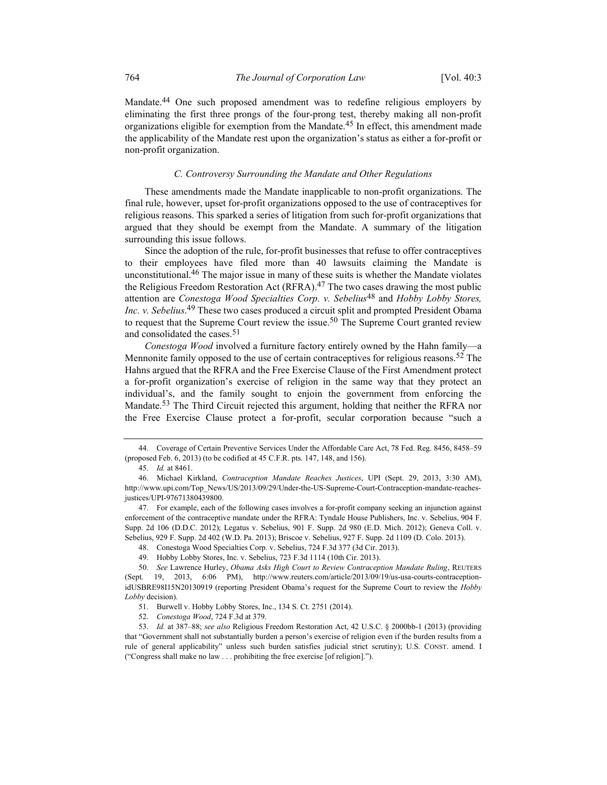Mandate.<sup>44</sup> One such proposed amendment was to redefine religious employers by eliminating the first three prongs of the four-prong test, thereby making all non-profit organizations eligible for exemption from the Mandate.<sup>45</sup> In effect, this amendment made the applicability of the Mandate rest upon the organization's status as either a for-profit or non-profit organization.

#### C. Controversy Surrounding the Mandate and Other Regulations

These amendments made the Mandate inapplicable to non-profit organizations. The final rule, however, upset for-profit organizations opposed to the use of contraceptives for religious reasons. This sparked a series of litigation from such for-profit organizations that argued that they should be exempt from the Mandate. A summary of the litigation surrounding this issue follows.

Since the adoption of the rule, for-profit businesses that refuse to offer contraceptives to their employees have filed more than 40 lawsuits claiming the Mandate is unconstitutional.<sup>46</sup> The major issue in many of these suits is whether the Mandate violates the Religious Freedom Restoration Act (RFRA). $47$  The two cases drawing the most public attention are Conestoga Wood Specialties Corp. v. Sebelius<sup>48</sup> and Hobby Lobby Stores, Inc. v. Sebelius.<sup>49</sup> These two cases produced a circuit split and prompted President Obama to request that the Supreme Court review the issue.<sup>50</sup> The Supreme Court granted review and consolidated the cases.<sup>51</sup>

Conestoga Wood involved a furniture factory entirely owned by the Hahn family—a Mennonite family opposed to the use of certain contraceptives for religious reasons.<sup>52</sup> The Hahns argued that the RFRA and the Free Exercise Clause of the First Amendment protect a for-profit organization's exercise of religion in the same way that they protect an individual's, and the family sought to enjoin the government from enforcing the Mandate.<sup>53</sup> The Third Circuit rejected this argument, holding that neither the RFRA nor the Free Exercise Clause protect a for-profit, secular corporation because "such a

48. Conestoga Wood Specialties Corp. v. Sebelius, 724 F.3d 377 (3d Cir. 2013).

49. Hobby Lobby Stores, Inc. v. Sebelius, 723 F.3d 1114 (10th Cir. 2013).

 <sup>44.</sup> Coverage of Certain Preventive Services Under the Affordable Care Act, 78 Fed. Reg. 8456, 8458–59 (proposed Feb. 6, 2013) (to be codified at 45 C.F.R. pts. 147, 148, and 156).

 <sup>45.</sup> Id. at 8461.

 <sup>46.</sup> Michael Kirkland, Contraception Mandate Reaches Justices, UPI (Sept. 29, 2013, 3:30 AM), http://www.upi.com/Top\_News/US/2013/09/29/Under-the-US-Supreme-Court-Contraception-mandate-reachesjustices/UPI-97671380439800.

 <sup>47.</sup> For example, each of the following cases involves a for-profit company seeking an injunction against enforcement of the contraceptive mandate under the RFRA: Tyndale House Publishers, Inc. v. Sebelius, 904 F. Supp. 2d 106 (D.D.C. 2012); Legatus v. Sebelius, 901 F. Supp. 2d 980 (E.D. Mich. 2012); Geneva Coll. v. Sebelius, 929 F. Supp. 2d 402 (W.D. Pa. 2013); Briscoe v. Sebelius, 927 F. Supp. 2d 1109 (D. Colo. 2013).

 <sup>50.</sup> See Lawrence Hurley, Obama Asks High Court to Review Contraception Mandate Ruling, REUTERS (Sept. 19, 2013, 6:06 PM), http://www.reuters.com/article/2013/09/19/us-usa-courts-contraceptionidUSBRE98I15N20130919 (reporting President Obama's request for the Supreme Court to review the Hobby Lobby decision).

 <sup>51.</sup> Burwell v. Hobby Lobby Stores, Inc., 134 S. Ct. 2751 (2014).

 <sup>52.</sup> Conestoga Wood, 724 F.3d at 379.

<sup>53.</sup> Id. at 387–88; see also Religious Freedom Restoration Act, 42 U.S.C. § 2000bb-1 (2013) (providing that "Government shall not substantially burden a person's exercise of religion even if the burden results from a rule of general applicability" unless such burden satisfies judicial strict scrutiny); U.S. CONST. amend. I ("Congress shall make no law . . . prohibiting the free exercise [of religion].").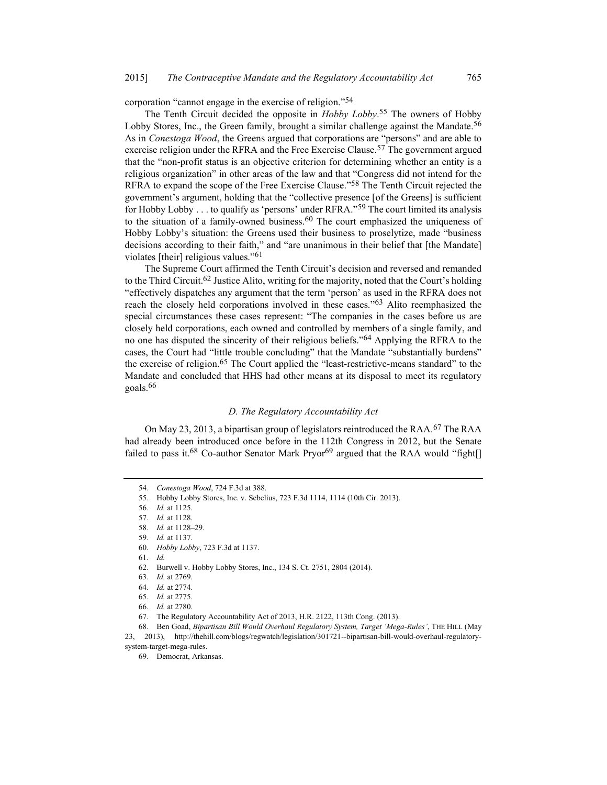corporation "cannot engage in the exercise of religion."54

The Tenth Circuit decided the opposite in *Hobby Lobby*.<sup>55</sup> The owners of Hobby Lobby Stores, Inc., the Green family, brought a similar challenge against the Mandate.<sup>56</sup> As in *Conestoga Wood*, the Greens argued that corporations are "persons" and are able to exercise religion under the RFRA and the Free Exercise Clause.<sup>57</sup> The government argued that the "non-profit status is an objective criterion for determining whether an entity is a religious organization" in other areas of the law and that "Congress did not intend for the RFRA to expand the scope of the Free Exercise Clause."<sup>58</sup> The Tenth Circuit rejected the government's argument, holding that the "collective presence [of the Greens] is sufficient for Hobby Lobby . . . to qualify as 'persons' under RFRA."<sup>59</sup> The court limited its analysis to the situation of a family-owned business.<sup>60</sup> The court emphasized the uniqueness of Hobby Lobby's situation: the Greens used their business to proselytize, made "business decisions according to their faith," and "are unanimous in their belief that [the Mandate] violates [their] religious values."61

The Supreme Court affirmed the Tenth Circuit's decision and reversed and remanded to the Third Circuit.<sup>62</sup> Justice Alito, writing for the majority, noted that the Court's holding "effectively dispatches any argument that the term 'person' as used in the RFRA does not reach the closely held corporations involved in these cases."<sup>63</sup> Alito reemphasized the special circumstances these cases represent: "The companies in the cases before us are closely held corporations, each owned and controlled by members of a single family, and no one has disputed the sincerity of their religious beliefs."<sup>64</sup> Applying the RFRA to the cases, the Court had "little trouble concluding" that the Mandate "substantially burdens" the exercise of religion.<sup>65</sup> The Court applied the "least-restrictive-means standard" to the Mandate and concluded that HHS had other means at its disposal to meet its regulatory goals.66

## D. The Regulatory Accountability Act

On May 23, 2013, a bipartisan group of legislators reintroduced the RAA.<sup>67</sup> The RAA had already been introduced once before in the 112th Congress in 2012, but the Senate failed to pass it.<sup>68</sup> Co-author Senator Mark Pryor<sup>69</sup> argued that the RAA would "fight<sup>[]</sup>

 <sup>54.</sup> Conestoga Wood, 724 F.3d at 388.

 <sup>55.</sup> Hobby Lobby Stores, Inc. v. Sebelius, 723 F.3d 1114, 1114 (10th Cir. 2013).

 <sup>56.</sup> Id. at 1125.

 <sup>57.</sup> Id. at 1128.

 <sup>58.</sup> Id. at 1128–29.

 <sup>59.</sup> Id. at 1137.

 <sup>60.</sup> Hobby Lobby, 723 F.3d at 1137.

 <sup>61.</sup> Id.

 <sup>62.</sup> Burwell v. Hobby Lobby Stores, Inc., 134 S. Ct. 2751, 2804 (2014).

 <sup>63.</sup> Id. at 2769.

 <sup>64.</sup> Id. at 2774.

 <sup>65.</sup> Id. at 2775.

 <sup>66.</sup> Id. at 2780.

 <sup>67.</sup> The Regulatory Accountability Act of 2013, H.R. 2122, 113th Cong. (2013).

 <sup>68.</sup> Ben Goad, Bipartisan Bill Would Overhaul Regulatory System, Target 'Mega-Rules', THE HILL (May 23, 2013), http://thehill.com/blogs/regwatch/legislation/301721--bipartisan-bill-would-overhaul-regulatorysystem-target-mega-rules.

 <sup>69.</sup> Democrat, Arkansas.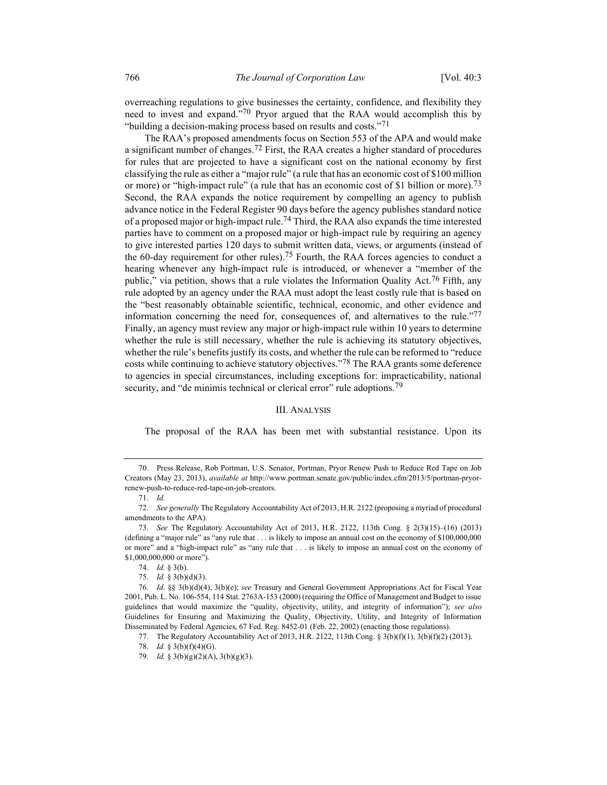overreaching regulations to give businesses the certainty, confidence, and flexibility they need to invest and expand."70 Pryor argued that the RAA would accomplish this by "building a decision-making process based on results and costs."<sup>71</sup>

The RAA's proposed amendments focus on Section 553 of the APA and would make a significant number of changes.<sup>72</sup> First, the RAA creates a higher standard of procedures for rules that are projected to have a significant cost on the national economy by first classifying the rule as either a "major rule" (a rule that has an economic cost of \$100 million or more) or "high-impact rule" (a rule that has an economic cost of \$1 billion or more).<sup>73</sup> Second, the RAA expands the notice requirement by compelling an agency to publish advance notice in the Federal Register 90 days before the agency publishes standard notice of a proposed major or high-impact rule.<sup>74</sup> Third, the RAA also expands the time interested parties have to comment on a proposed major or high-impact rule by requiring an agency to give interested parties 120 days to submit written data, views, or arguments (instead of the 60-day requirement for other rules).<sup>75</sup> Fourth, the RAA forces agencies to conduct a hearing whenever any high-impact rule is introduced, or whenever a "member of the public," via petition, shows that a rule violates the Information Quality Act.<sup>76</sup> Fifth, any rule adopted by an agency under the RAA must adopt the least costly rule that is based on the "best reasonably obtainable scientific, technical, economic, and other evidence and information concerning the need for, consequences of, and alternatives to the rule."<sup>77</sup> Finally, an agency must review any major or high-impact rule within 10 years to determine whether the rule is still necessary, whether the rule is achieving its statutory objectives, whether the rule's benefits justify its costs, and whether the rule can be reformed to "reduce costs while continuing to achieve statutory objectives."<sup>78</sup> The RAA grants some deference to agencies in special circumstances, including exceptions for: impracticability, national security, and "de minimis technical or clerical error" rule adoptions.<sup>79</sup>

# III. ANALYSIS

The proposal of the RAA has been met with substantial resistance. Upon its

 <sup>70.</sup> Press Release, Rob Portman, U.S. Senator, Portman, Pryor Renew Push to Reduce Red Tape on Job Creators (May 23, 2013), available at http://www.portman.senate.gov/public/index.cfm/2013/5/portman-pryorrenew-push-to-reduce-red-tape-on-job-creators.

 <sup>71.</sup> Id.

<sup>72.</sup> See generally The Regulatory Accountability Act of 2013, H.R. 2122 (proposing a myriad of procedural amendments to the APA).

 <sup>73.</sup> See The Regulatory Accountability Act of 2013, H.R. 2122, 113th Cong. § 2(3)(15)–(16) (2013) (defining a "major rule" as "any rule that . . . is likely to impose an annual cost on the economy of \$100,000,000 or more" and a "high-impact rule" as "any rule that . . . is likely to impose an annual cost on the economy of \$1,000,000,000 or more").

 <sup>74.</sup> Id. § 3(b).

 <sup>75.</sup> Id. § 3(b)(d)(3).

 <sup>76.</sup> Id. §§ 3(b)(d)(4), 3(b)(e); see Treasury and General Government Appropriations Act for Fiscal Year 2001, Pub. L. No. 106-554, 114 Stat. 2763A-153 (2000) (requiring the Office of Management and Budget to issue guidelines that would maximize the "quality, objectivity, utility, and integrity of information"); see also Guidelines for Ensuring and Maximizing the Quality, Objectivity, Utility, and Integrity of Information Disseminated by Federal Agencies, 67 Fed. Reg. 8452-01 (Feb. 22, 2002) (enacting those regulations).

 <sup>77.</sup> The Regulatory Accountability Act of 2013, H.R. 2122, 113th Cong. § 3(b)(f)(1), 3(b)(f)(2) (2013).

 <sup>78.</sup> Id. § 3(b)(f)(4)(G).

<sup>79.</sup> Id.  $\S 3(b)(g)(2)(A), 3(b)(g)(3)$ .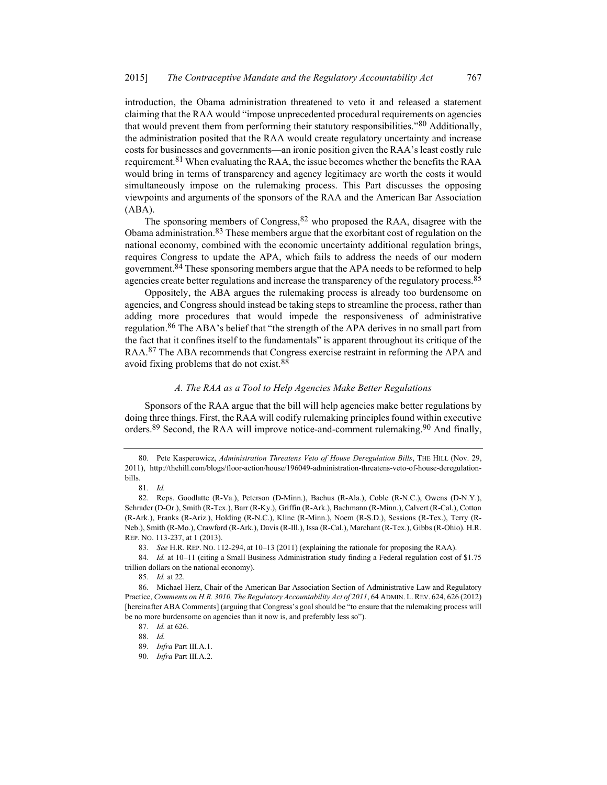introduction, the Obama administration threatened to veto it and released a statement claiming that the RAA would "impose unprecedented procedural requirements on agencies that would prevent them from performing their statutory responsibilities."<sup>80</sup> Additionally, the administration posited that the RAA would create regulatory uncertainty and increase costs for businesses and governments—an ironic position given the RAA's least costly rule requirement.<sup>81</sup> When evaluating the RAA, the issue becomes whether the benefits the RAA would bring in terms of transparency and agency legitimacy are worth the costs it would simultaneously impose on the rulemaking process. This Part discusses the opposing viewpoints and arguments of the sponsors of the RAA and the American Bar Association (ABA).

The sponsoring members of Congress,  $82$  who proposed the RAA, disagree with the Obama administration.<sup>83</sup> These members argue that the exorbitant cost of regulation on the national economy, combined with the economic uncertainty additional regulation brings, requires Congress to update the APA, which fails to address the needs of our modern government.<sup>84</sup> These sponsoring members argue that the APA needs to be reformed to help agencies create better regulations and increase the transparency of the regulatory process.<sup>85</sup>

Oppositely, the ABA argues the rulemaking process is already too burdensome on agencies, and Congress should instead be taking steps to streamline the process, rather than adding more procedures that would impede the responsiveness of administrative regulation.<sup>86</sup> The ABA's belief that "the strength of the APA derives in no small part from the fact that it confines itself to the fundamentals" is apparent throughout its critique of the RAA.<sup>87</sup> The ABA recommends that Congress exercise restraint in reforming the APA and avoid fixing problems that do not exist.88

# A. The RAA as a Tool to Help Agencies Make Better Regulations

Sponsors of the RAA argue that the bill will help agencies make better regulations by doing three things. First, the RAA will codify rulemaking principles found within executive orders.<sup>89</sup> Second, the RAA will improve notice-and-comment rulemaking.<sup>90</sup> And finally,

83. See H.R. REP. NO. 112-294, at 10–13 (2011) (explaining the rationale for proposing the RAA).

84. Id. at 10–11 (citing a Small Business Administration study finding a Federal regulation cost of \$1.75 trillion dollars on the national economy).

85. Id. at 22.

87. Id. at 626.

88. Id.

<sup>80.</sup> Pete Kasperowicz, Administration Threatens Veto of House Deregulation Bills, THE HILL (Nov. 29, 2011), http://thehill.com/blogs/floor-action/house/196049-administration-threatens-veto-of-house-deregulationbills.

 <sup>81.</sup> Id.

 <sup>82.</sup> Reps. Goodlatte (R-Va.), Peterson (D-Minn.), Bachus (R-Ala.), Coble (R-N.C.), Owens (D-N.Y.), Schrader (D-Or.), Smith (R-Tex.), Barr (R-Ky.), Griffin (R-Ark.), Bachmann (R-Minn.), Calvert (R-Cal.), Cotton (R-Ark.), Franks (R-Ariz.), Holding (R-N.C.), Kline (R-Minn.), Noem (R-S.D.), Sessions (R-Tex.), Terry (R-Neb.), Smith (R-Mo.), Crawford (R-Ark.), Davis (R-Ill.), Issa (R-Cal.), Marchant (R-Tex.), Gibbs (R-Ohio). H.R. REP. NO. 113-237, at 1 (2013).

 <sup>86.</sup> Michael Herz, Chair of the American Bar Association Section of Administrative Law and Regulatory Practice, Comments on H.R. 3010, The Regulatory Accountability Act of 2011, 64 ADMIN. L. REV. 624, 626 (2012) [hereinafter ABA Comments] (arguing that Congress's goal should be "to ensure that the rulemaking process will be no more burdensome on agencies than it now is, and preferably less so").

 <sup>89.</sup> Infra Part III.A.1.

<sup>90.</sup> Infra Part III.A.2.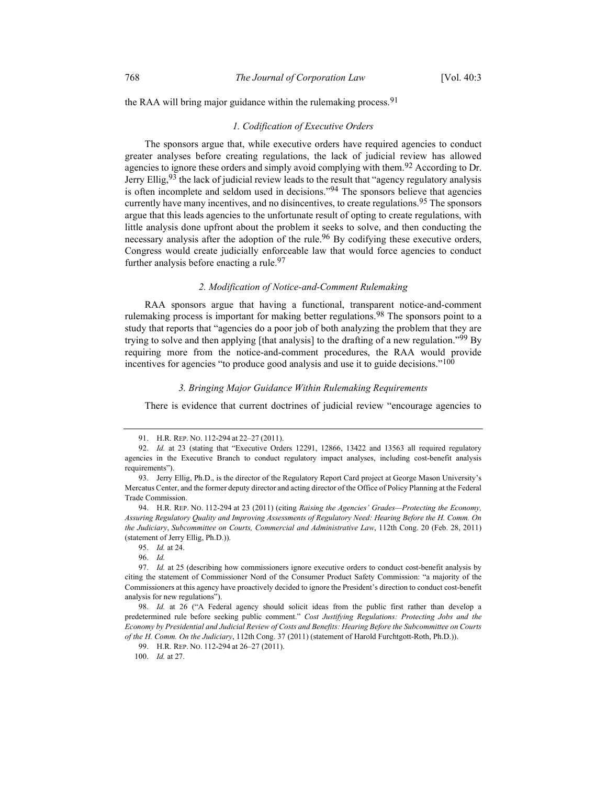the RAA will bring major guidance within the rulemaking process.<sup>91</sup>

## 1. Codification of Executive Orders

The sponsors argue that, while executive orders have required agencies to conduct greater analyses before creating regulations, the lack of judicial review has allowed agencies to ignore these orders and simply avoid complying with them.<sup>92</sup> According to Dr. Jerry Ellig,  $93$  the lack of judicial review leads to the result that "agency regulatory analysis is often incomplete and seldom used in decisions."94 The sponsors believe that agencies currently have many incentives, and no disincentives, to create regulations.<sup>95</sup> The sponsors argue that this leads agencies to the unfortunate result of opting to create regulations, with little analysis done upfront about the problem it seeks to solve, and then conducting the necessary analysis after the adoption of the rule.<sup>96</sup> By codifying these executive orders, Congress would create judicially enforceable law that would force agencies to conduct further analysis before enacting a rule.  $97$ 

#### 2. Modification of Notice-and-Comment Rulemaking

RAA sponsors argue that having a functional, transparent notice-and-comment rulemaking process is important for making better regulations.<sup>98</sup> The sponsors point to a study that reports that "agencies do a poor job of both analyzing the problem that they are trying to solve and then applying [that analysis] to the drafting of a new regulation."<sup>99</sup> By requiring more from the notice-and-comment procedures, the RAA would provide incentives for agencies "to produce good analysis and use it to guide decisions."100

#### 3. Bringing Major Guidance Within Rulemaking Requirements

There is evidence that current doctrines of judicial review "encourage agencies to

100. Id. at 27.

 <sup>91.</sup> H.R. REP. NO. 112-294 at 22–27 (2011).

 <sup>92.</sup> Id. at 23 (stating that "Executive Orders 12291, 12866, 13422 and 13563 all required regulatory agencies in the Executive Branch to conduct regulatory impact analyses, including cost-benefit analysis requirements").

 <sup>93.</sup> Jerry Ellig, Ph.D., is the director of the Regulatory Report Card project at George Mason University's Mercatus Center, and the former deputy director and acting director of the Office of Policy Planning at the Federal Trade Commission.

 <sup>94.</sup> H.R. REP. NO. 112-294 at 23 (2011) (citing Raising the Agencies' Grades—Protecting the Economy, Assuring Regulatory Quality and Improving Assessments of Regulatory Need: Hearing Before the H. Comm. On the Judiciary, Subcommittee on Courts, Commercial and Administrative Law, 112th Cong. 20 (Feb. 28, 2011) (statement of Jerry Ellig, Ph.D.)).

 <sup>95.</sup> Id. at 24.

 <sup>96.</sup> Id.

 <sup>97.</sup> Id. at 25 (describing how commissioners ignore executive orders to conduct cost-benefit analysis by citing the statement of Commissioner Nord of the Consumer Product Safety Commission: "a majority of the Commissioners at this agency have proactively decided to ignore the President's direction to conduct cost-benefit analysis for new regulations").

 <sup>98.</sup> Id. at 26 ("A Federal agency should solicit ideas from the public first rather than develop a predetermined rule before seeking public comment." Cost Justifying Regulations: Protecting Jobs and the Economy by Presidential and Judicial Review of Costs and Benefits: Hearing Before the Subcommittee on Courts of the H. Comm. On the Judiciary, 112th Cong. 37 (2011) (statement of Harold Furchtgott-Roth, Ph.D.)).

 <sup>99.</sup> H.R. REP. NO. 112-294 at 26–27 (2011).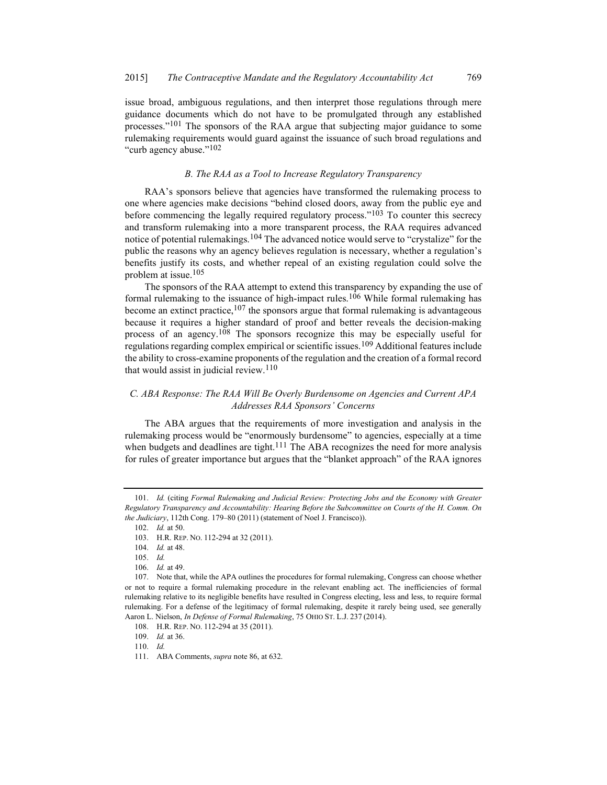issue broad, ambiguous regulations, and then interpret those regulations through mere guidance documents which do not have to be promulgated through any established processes."<sup>101</sup> The sponsors of the RAA argue that subjecting major guidance to some rulemaking requirements would guard against the issuance of such broad regulations and "curb agency abuse."102

## B. The RAA as a Tool to Increase Regulatory Transparency

RAA's sponsors believe that agencies have transformed the rulemaking process to one where agencies make decisions "behind closed doors, away from the public eye and before commencing the legally required regulatory process."<sup>103</sup> To counter this secrecy and transform rulemaking into a more transparent process, the RAA requires advanced notice of potential rulemakings.<sup>104</sup> The advanced notice would serve to "crystalize" for the public the reasons why an agency believes regulation is necessary, whether a regulation's benefits justify its costs, and whether repeal of an existing regulation could solve the problem at issue.<sup>105</sup>

The sponsors of the RAA attempt to extend this transparency by expanding the use of formal rulemaking to the issuance of high-impact rules.106 While formal rulemaking has become an extinct practice,  $107$  the sponsors argue that formal rulemaking is advantageous because it requires a higher standard of proof and better reveals the decision-making process of an agency.<sup>108</sup> The sponsors recognize this may be especially useful for regulations regarding complex empirical or scientific issues.<sup>109</sup> Additional features include the ability to cross-examine proponents of the regulation and the creation of a formal record that would assist in judicial review.<sup>110</sup>

# C. ABA Response: The RAA Will Be Overly Burdensome on Agencies and Current APA Addresses RAA Sponsors' Concerns

The ABA argues that the requirements of more investigation and analysis in the rulemaking process would be "enormously burdensome" to agencies, especially at a time when budgets and deadlines are tight.<sup>111</sup> The ABA recognizes the need for more analysis for rules of greater importance but argues that the "blanket approach" of the RAA ignores

102. Id. at 50.

 <sup>101.</sup> Id. (citing Formal Rulemaking and Judicial Review: Protecting Jobs and the Economy with Greater Regulatory Transparency and Accountability: Hearing Before the Subcommittee on Courts of the H. Comm. On the Judiciary, 112th Cong. 179-80 (2011) (statement of Noel J. Francisco)).

 <sup>103.</sup> H.R. REP. NO. 112-294 at 32 (2011).

 <sup>104.</sup> Id. at 48.

 <sup>105.</sup> Id.

 <sup>106.</sup> Id. at 49.

 <sup>107.</sup> Note that, while the APA outlines the procedures for formal rulemaking, Congress can choose whether or not to require a formal rulemaking procedure in the relevant enabling act. The inefficiencies of formal rulemaking relative to its negligible benefits have resulted in Congress electing, less and less, to require formal rulemaking. For a defense of the legitimacy of formal rulemaking, despite it rarely being used, see generally Aaron L. Nielson, In Defense of Formal Rulemaking, 75 OHIO ST. L.J. 237 (2014).

 <sup>108.</sup> H.R. REP. NO. 112-294 at 35 (2011).

 <sup>109.</sup> Id. at 36.

 <sup>110.</sup> Id.

<sup>111.</sup> ABA Comments, *supra* note 86, at 632.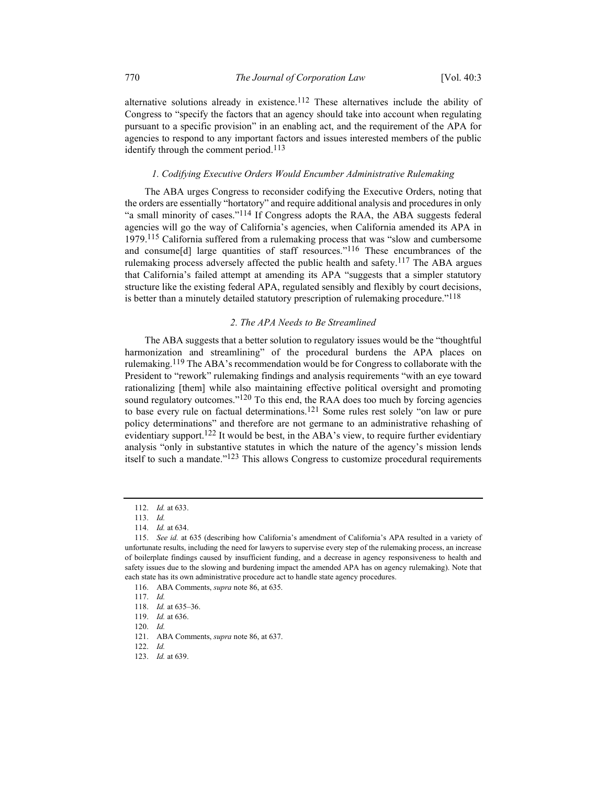alternative solutions already in existence.<sup>112</sup> These alternatives include the ability of Congress to "specify the factors that an agency should take into account when regulating pursuant to a specific provision" in an enabling act, and the requirement of the APA for agencies to respond to any important factors and issues interested members of the public identify through the comment period.<sup>113</sup>

#### 1. Codifying Executive Orders Would Encumber Administrative Rulemaking

The ABA urges Congress to reconsider codifying the Executive Orders, noting that the orders are essentially "hortatory" and require additional analysis and procedures in only "a small minority of cases." $114$  If Congress adopts the RAA, the ABA suggests federal agencies will go the way of California's agencies, when California amended its APA in 1979.115 California suffered from a rulemaking process that was "slow and cumbersome and consume[d] large quantities of staff resources." $116$  These encumbrances of the rulemaking process adversely affected the public health and safety.<sup>117</sup> The ABA argues that California's failed attempt at amending its APA "suggests that a simpler statutory structure like the existing federal APA, regulated sensibly and flexibly by court decisions, is better than a minutely detailed statutory prescription of rulemaking procedure."<sup>118</sup>

#### 2. The APA Needs to Be Streamlined

The ABA suggests that a better solution to regulatory issues would be the "thoughtful harmonization and streamlining" of the procedural burdens the APA places on rulemaking.<sup>119</sup> The ABA's recommendation would be for Congress to collaborate with the President to "rework" rulemaking findings and analysis requirements "with an eye toward rationalizing [them] while also maintaining effective political oversight and promoting sound regulatory outcomes." $120$  To this end, the RAA does too much by forcing agencies to base every rule on factual determinations.<sup>121</sup> Some rules rest solely "on law or pure policy determinations" and therefore are not germane to an administrative rehashing of evidentiary support.<sup>122</sup> It would be best, in the ABA's view, to require further evidentiary analysis "only in substantive statutes in which the nature of the agency's mission lends itself to such a mandate."<sup>123</sup> This allows Congress to customize procedural requirements

 <sup>112.</sup> Id. at 633.

 <sup>113.</sup> Id.

 <sup>114.</sup> Id. at 634.

 <sup>115.</sup> See id. at 635 (describing how California's amendment of California's APA resulted in a variety of unfortunate results, including the need for lawyers to supervise every step of the rulemaking process, an increase of boilerplate findings caused by insufficient funding, and a decrease in agency responsiveness to health and safety issues due to the slowing and burdening impact the amended APA has on agency rulemaking). Note that each state has its own administrative procedure act to handle state agency procedures.

 <sup>116.</sup> ABA Comments, supra note 86, at 635.

 <sup>117.</sup> Id.

 <sup>118.</sup> Id. at 635–36.

 <sup>119.</sup> Id. at 636.

 <sup>120.</sup> Id.

 <sup>121.</sup> ABA Comments, supra note 86, at 637.

 <sup>122.</sup> Id.

 <sup>123.</sup> Id. at 639.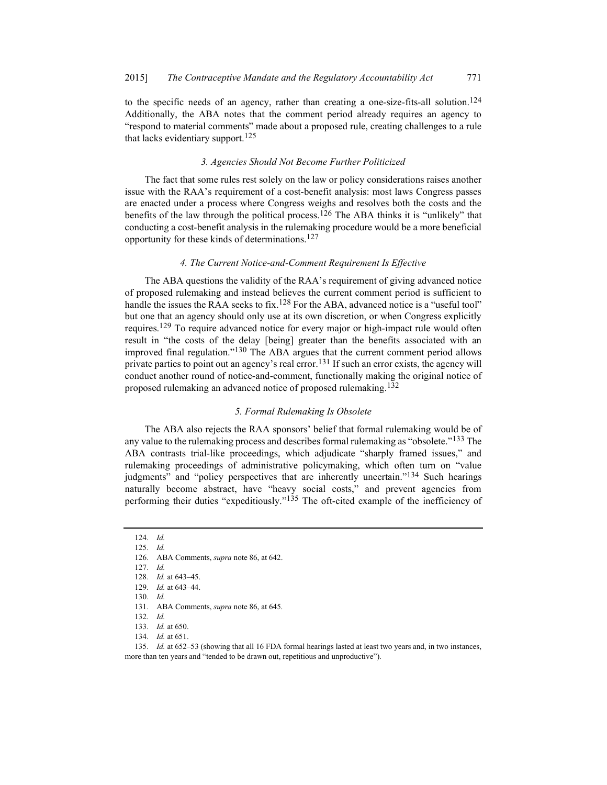to the specific needs of an agency, rather than creating a one-size-fits-all solution.<sup>124</sup> Additionally, the ABA notes that the comment period already requires an agency to "respond to material comments" made about a proposed rule, creating challenges to a rule that lacks evidentiary support.<sup>125</sup>

### 3. Agencies Should Not Become Further Politicized

The fact that some rules rest solely on the law or policy considerations raises another issue with the RAA's requirement of a cost-benefit analysis: most laws Congress passes are enacted under a process where Congress weighs and resolves both the costs and the benefits of the law through the political process.<sup>126</sup> The ABA thinks it is "unlikely" that conducting a cost-benefit analysis in the rulemaking procedure would be a more beneficial opportunity for these kinds of determinations.127

#### 4. The Current Notice-and-Comment Requirement Is Effective

The ABA questions the validity of the RAA's requirement of giving advanced notice of proposed rulemaking and instead believes the current comment period is sufficient to handle the issues the RAA seeks to fix.<sup>128</sup> For the ABA, advanced notice is a "useful tool" but one that an agency should only use at its own discretion, or when Congress explicitly requires.<sup>129</sup> To require advanced notice for every major or high-impact rule would often result in "the costs of the delay [being] greater than the benefits associated with an improved final regulation."130 The ABA argues that the current comment period allows private parties to point out an agency's real error.<sup>131</sup> If such an error exists, the agency will conduct another round of notice-and-comment, functionally making the original notice of proposed rulemaking an advanced notice of proposed rulemaking.<sup>132</sup>

#### 5. Formal Rulemaking Is Obsolete

The ABA also rejects the RAA sponsors' belief that formal rulemaking would be of any value to the rulemaking process and describes formal rulemaking as "obsolete."<sup>133</sup> The ABA contrasts trial-like proceedings, which adjudicate "sharply framed issues," and rulemaking proceedings of administrative policymaking, which often turn on "value judgments" and "policy perspectives that are inherently uncertain."<sup>134</sup> Such hearings naturally become abstract, have "heavy social costs," and prevent agencies from performing their duties "expeditiously."135 The oft-cited example of the inefficiency of

 <sup>124.</sup> Id.

 <sup>125.</sup> Id.

 <sup>126.</sup> ABA Comments, supra note 86, at 642.

 <sup>127.</sup> Id.

 <sup>128.</sup> Id. at 643–45.

 <sup>129.</sup> Id. at 643–44.

 <sup>130.</sup> Id.

 <sup>131.</sup> ABA Comments, supra note 86, at 645.

 <sup>132.</sup> Id.

 <sup>133.</sup> Id. at 650. 134. Id. at 651.

 <sup>135.</sup> Id. at 652–53 (showing that all 16 FDA formal hearings lasted at least two years and, in two instances, more than ten years and "tended to be drawn out, repetitious and unproductive").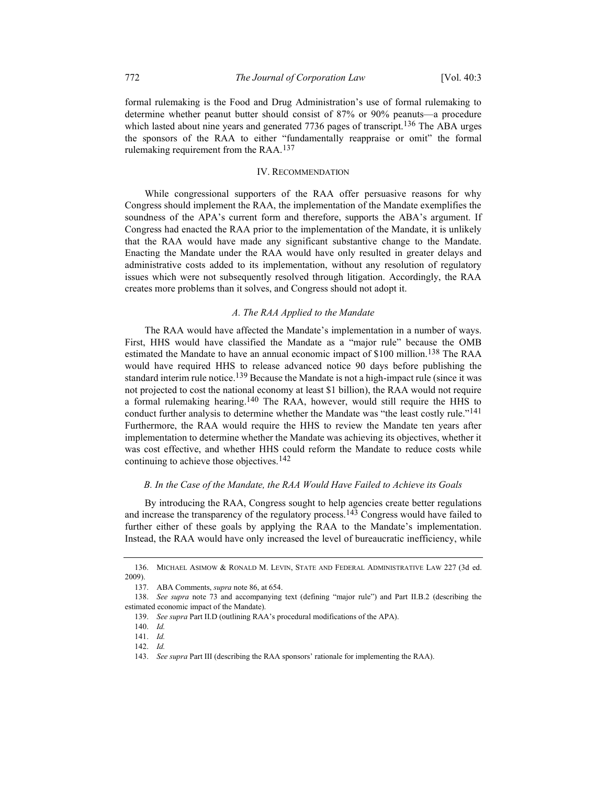formal rulemaking is the Food and Drug Administration's use of formal rulemaking to determine whether peanut butter should consist of 87% or 90% peanuts—a procedure which lasted about nine years and generated  $7736$  pages of transcript.<sup>136</sup> The ABA urges the sponsors of the RAA to either "fundamentally reappraise or omit" the formal rulemaking requirement from the RAA.<sup>137</sup>

#### IV. RECOMMENDATION

While congressional supporters of the RAA offer persuasive reasons for why Congress should implement the RAA, the implementation of the Mandate exemplifies the soundness of the APA's current form and therefore, supports the ABA's argument. If Congress had enacted the RAA prior to the implementation of the Mandate, it is unlikely that the RAA would have made any significant substantive change to the Mandate. Enacting the Mandate under the RAA would have only resulted in greater delays and administrative costs added to its implementation, without any resolution of regulatory issues which were not subsequently resolved through litigation. Accordingly, the RAA creates more problems than it solves, and Congress should not adopt it.

#### A. The RAA Applied to the Mandate

The RAA would have affected the Mandate's implementation in a number of ways. First, HHS would have classified the Mandate as a "major rule" because the OMB estimated the Mandate to have an annual economic impact of \$100 million.<sup>138</sup> The RAA would have required HHS to release advanced notice 90 days before publishing the standard interim rule notice.<sup>139</sup> Because the Mandate is not a high-impact rule (since it was not projected to cost the national economy at least \$1 billion), the RAA would not require a formal rulemaking hearing.<sup>140</sup> The RAA, however, would still require the HHS to conduct further analysis to determine whether the Mandate was "the least costly rule."<sup>141</sup> Furthermore, the RAA would require the HHS to review the Mandate ten years after implementation to determine whether the Mandate was achieving its objectives, whether it was cost effective, and whether HHS could reform the Mandate to reduce costs while continuing to achieve those objectives.<sup>142</sup>

#### B. In the Case of the Mandate, the RAA Would Have Failed to Achieve its Goals

By introducing the RAA, Congress sought to help agencies create better regulations and increase the transparency of the regulatory process.<sup>143</sup> Congress would have failed to further either of these goals by applying the RAA to the Mandate's implementation. Instead, the RAA would have only increased the level of bureaucratic inefficiency, while

 <sup>136.</sup> MICHAEL ASIMOW & RONALD M. LEVIN, STATE AND FEDERAL ADMINISTRATIVE LAW 227 (3d ed. 2009).

 <sup>137.</sup> ABA Comments, supra note 86, at 654.

 <sup>138.</sup> See supra note 73 and accompanying text (defining "major rule") and Part II.B.2 (describing the estimated economic impact of the Mandate).

 <sup>139.</sup> See supra Part II.D (outlining RAA's procedural modifications of the APA).

 <sup>140.</sup> Id.

 $141.$  Id.

 <sup>142.</sup> Id.

 <sup>143.</sup> See supra Part III (describing the RAA sponsors' rationale for implementing the RAA).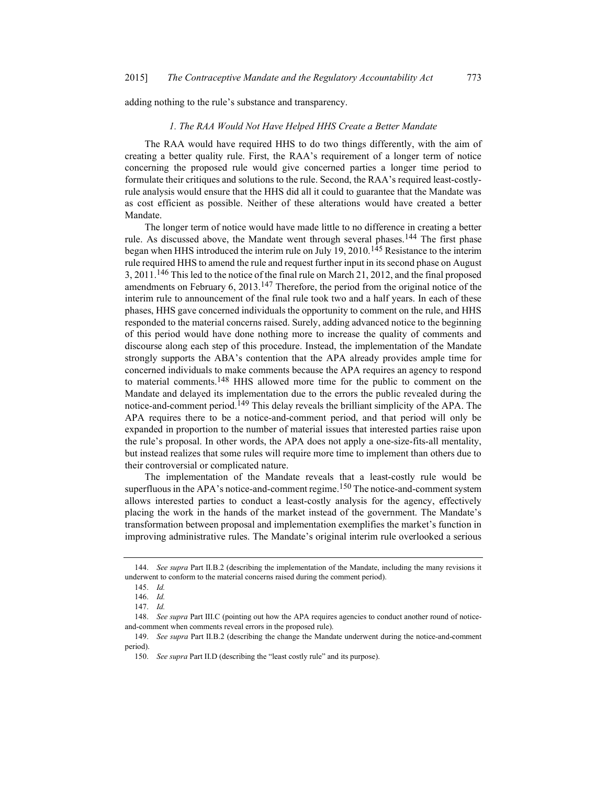adding nothing to the rule's substance and transparency.

#### 1. The RAA Would Not Have Helped HHS Create a Better Mandate

The RAA would have required HHS to do two things differently, with the aim of creating a better quality rule. First, the RAA's requirement of a longer term of notice concerning the proposed rule would give concerned parties a longer time period to formulate their critiques and solutions to the rule. Second, the RAA's required least-costlyrule analysis would ensure that the HHS did all it could to guarantee that the Mandate was as cost efficient as possible. Neither of these alterations would have created a better Mandate.

The longer term of notice would have made little to no difference in creating a better rule. As discussed above, the Mandate went through several phases.<sup>144</sup> The first phase began when HHS introduced the interim rule on July 19, 2010.<sup>145</sup> Resistance to the interim rule required HHS to amend the rule and request further input in its second phase on August 3, 2011.<sup>146</sup> This led to the notice of the final rule on March 21, 2012, and the final proposed amendments on February  $6, 2013$ .<sup>147</sup> Therefore, the period from the original notice of the interim rule to announcement of the final rule took two and a half years. In each of these phases, HHS gave concerned individuals the opportunity to comment on the rule, and HHS responded to the material concerns raised. Surely, adding advanced notice to the beginning of this period would have done nothing more to increase the quality of comments and discourse along each step of this procedure. Instead, the implementation of the Mandate strongly supports the ABA's contention that the APA already provides ample time for concerned individuals to make comments because the APA requires an agency to respond to material comments.148 HHS allowed more time for the public to comment on the Mandate and delayed its implementation due to the errors the public revealed during the notice-and-comment period.<sup>149</sup> This delay reveals the brilliant simplicity of the APA. The APA requires there to be a notice-and-comment period, and that period will only be expanded in proportion to the number of material issues that interested parties raise upon the rule's proposal. In other words, the APA does not apply a one-size-fits-all mentality, but instead realizes that some rules will require more time to implement than others due to their controversial or complicated nature.

The implementation of the Mandate reveals that a least-costly rule would be superfluous in the APA's notice-and-comment regime.<sup>150</sup> The notice-and-comment system allows interested parties to conduct a least-costly analysis for the agency, effectively placing the work in the hands of the market instead of the government. The Mandate's transformation between proposal and implementation exemplifies the market's function in improving administrative rules. The Mandate's original interim rule overlooked a serious

<sup>144.</sup> See supra Part II.B.2 (describing the implementation of the Mandate, including the many revisions it underwent to conform to the material concerns raised during the comment period).

 <sup>145.</sup> Id.

 <sup>146.</sup> Id.

 <sup>147.</sup> Id.

<sup>148.</sup> See supra Part III.C (pointing out how the APA requires agencies to conduct another round of noticeand-comment when comments reveal errors in the proposed rule).

 <sup>149.</sup> See supra Part II.B.2 (describing the change the Mandate underwent during the notice-and-comment period).

 <sup>150.</sup> See supra Part II.D (describing the "least costly rule" and its purpose).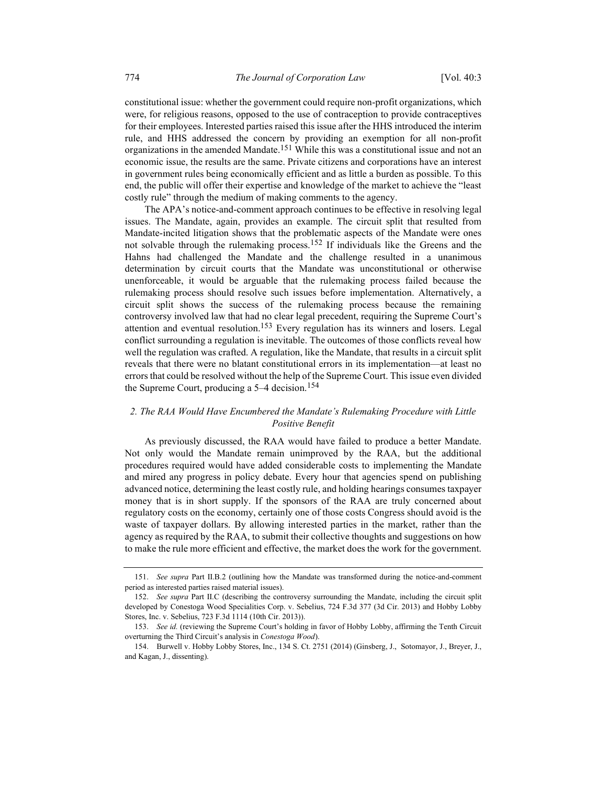constitutional issue: whether the government could require non-profit organizations, which were, for religious reasons, opposed to the use of contraception to provide contraceptives for their employees. Interested parties raised this issue after the HHS introduced the interim rule, and HHS addressed the concern by providing an exemption for all non-profit organizations in the amended Mandate.<sup>151</sup> While this was a constitutional issue and not an economic issue, the results are the same. Private citizens and corporations have an interest in government rules being economically efficient and as little a burden as possible. To this end, the public will offer their expertise and knowledge of the market to achieve the "least costly rule" through the medium of making comments to the agency.

The APA's notice-and-comment approach continues to be effective in resolving legal issues. The Mandate, again, provides an example. The circuit split that resulted from Mandate-incited litigation shows that the problematic aspects of the Mandate were ones not solvable through the rulemaking process.<sup>152</sup> If individuals like the Greens and the Hahns had challenged the Mandate and the challenge resulted in a unanimous determination by circuit courts that the Mandate was unconstitutional or otherwise unenforceable, it would be arguable that the rulemaking process failed because the rulemaking process should resolve such issues before implementation. Alternatively, a circuit split shows the success of the rulemaking process because the remaining controversy involved law that had no clear legal precedent, requiring the Supreme Court's attention and eventual resolution.153 Every regulation has its winners and losers. Legal conflict surrounding a regulation is inevitable. The outcomes of those conflicts reveal how well the regulation was crafted. A regulation, like the Mandate, that results in a circuit split reveals that there were no blatant constitutional errors in its implementation—at least no errors that could be resolved without the help of the Supreme Court. This issue even divided the Supreme Court, producing a  $5-4$  decision.<sup>154</sup>

# 2. The RAA Would Have Encumbered the Mandate's Rulemaking Procedure with Little Positive Benefit

As previously discussed, the RAA would have failed to produce a better Mandate. Not only would the Mandate remain unimproved by the RAA, but the additional procedures required would have added considerable costs to implementing the Mandate and mired any progress in policy debate. Every hour that agencies spend on publishing advanced notice, determining the least costly rule, and holding hearings consumes taxpayer money that is in short supply. If the sponsors of the RAA are truly concerned about regulatory costs on the economy, certainly one of those costs Congress should avoid is the waste of taxpayer dollars. By allowing interested parties in the market, rather than the agency as required by the RAA, to submit their collective thoughts and suggestions on how to make the rule more efficient and effective, the market does the work for the government.

 <sup>151.</sup> See supra Part II.B.2 (outlining how the Mandate was transformed during the notice-and-comment period as interested parties raised material issues).

<sup>152.</sup> See supra Part II.C (describing the controversy surrounding the Mandate, including the circuit split developed by Conestoga Wood Specialities Corp. v. Sebelius, 724 F.3d 377 (3d Cir. 2013) and Hobby Lobby Stores, Inc. v. Sebelius, 723 F.3d 1114 (10th Cir. 2013)).

 <sup>153.</sup> See id. (reviewing the Supreme Court's holding in favor of Hobby Lobby, affirming the Tenth Circuit overturning the Third Circuit's analysis in Conestoga Wood).

 <sup>154.</sup> Burwell v. Hobby Lobby Stores, Inc., 134 S. Ct. 2751 (2014) (Ginsberg, J., Sotomayor, J., Breyer, J., and Kagan, J., dissenting).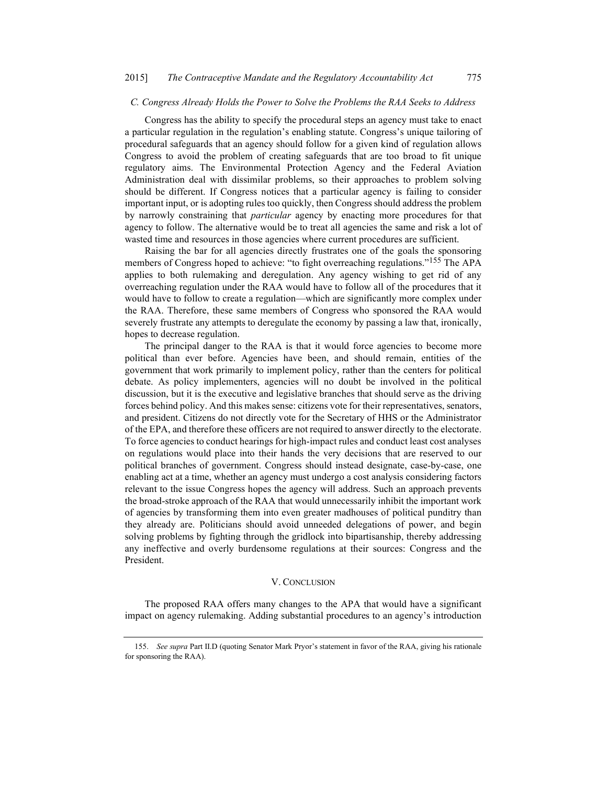# C. Congress Already Holds the Power to Solve the Problems the RAA Seeks to Address

Congress has the ability to specify the procedural steps an agency must take to enact a particular regulation in the regulation's enabling statute. Congress's unique tailoring of procedural safeguards that an agency should follow for a given kind of regulation allows Congress to avoid the problem of creating safeguards that are too broad to fit unique regulatory aims. The Environmental Protection Agency and the Federal Aviation Administration deal with dissimilar problems, so their approaches to problem solving should be different. If Congress notices that a particular agency is failing to consider important input, or is adopting rules too quickly, then Congress should address the problem by narrowly constraining that *particular* agency by enacting more procedures for that agency to follow. The alternative would be to treat all agencies the same and risk a lot of wasted time and resources in those agencies where current procedures are sufficient.

Raising the bar for all agencies directly frustrates one of the goals the sponsoring members of Congress hoped to achieve: "to fight overreaching regulations."<sup>155</sup> The APA applies to both rulemaking and deregulation. Any agency wishing to get rid of any overreaching regulation under the RAA would have to follow all of the procedures that it would have to follow to create a regulation—which are significantly more complex under the RAA. Therefore, these same members of Congress who sponsored the RAA would severely frustrate any attempts to deregulate the economy by passing a law that, ironically, hopes to decrease regulation.

The principal danger to the RAA is that it would force agencies to become more political than ever before. Agencies have been, and should remain, entities of the government that work primarily to implement policy, rather than the centers for political debate. As policy implementers, agencies will no doubt be involved in the political discussion, but it is the executive and legislative branches that should serve as the driving forces behind policy. And this makes sense: citizens vote for their representatives, senators, and president. Citizens do not directly vote for the Secretary of HHS or the Administrator of the EPA, and therefore these officers are not required to answer directly to the electorate. To force agencies to conduct hearings for high-impact rules and conduct least cost analyses on regulations would place into their hands the very decisions that are reserved to our political branches of government. Congress should instead designate, case-by-case, one enabling act at a time, whether an agency must undergo a cost analysis considering factors relevant to the issue Congress hopes the agency will address. Such an approach prevents the broad-stroke approach of the RAA that would unnecessarily inhibit the important work of agencies by transforming them into even greater madhouses of political punditry than they already are. Politicians should avoid unneeded delegations of power, and begin solving problems by fighting through the gridlock into bipartisanship, thereby addressing any ineffective and overly burdensome regulations at their sources: Congress and the President.

#### V. CONCLUSION

The proposed RAA offers many changes to the APA that would have a significant impact on agency rulemaking. Adding substantial procedures to an agency's introduction

<sup>155.</sup> See supra Part II.D (quoting Senator Mark Pryor's statement in favor of the RAA, giving his rationale for sponsoring the RAA).